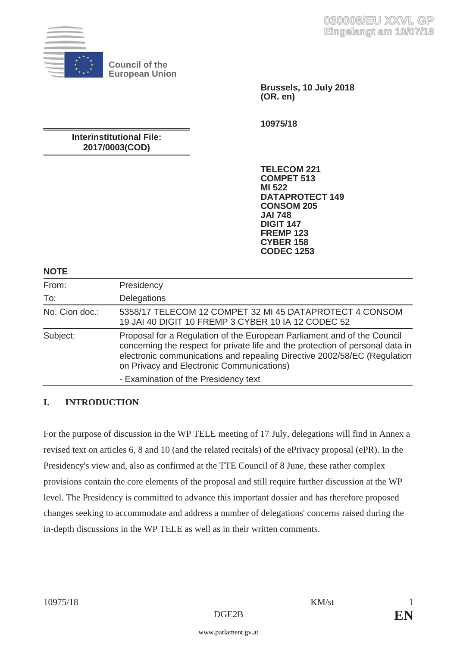

**Council of the European Union** 

> **Brussels, 10 July 2018 (OR. en)**

**10975/18** 

# **Interinstitutional File: 2017/0003(COD)**

**TELECOM 221 COMPET 513 MI 522 DATAPROTECT 149 CONSOM 205 JAI 748 DIGIT 147 FREMP 123 CYBER 158 CODEC 1253** 

#### **NOTE**

| .              |                                                                                                                                                                                                                                                                                    |
|----------------|------------------------------------------------------------------------------------------------------------------------------------------------------------------------------------------------------------------------------------------------------------------------------------|
| From:          | Presidency                                                                                                                                                                                                                                                                         |
| To:            | Delegations                                                                                                                                                                                                                                                                        |
| No. Cion doc.: | 5358/17 TELECOM 12 COMPET 32 MI 45 DATAPROTECT 4 CONSOM<br>19 JAI 40 DIGIT 10 FREMP 3 CYBER 10 IA 12 CODEC 52                                                                                                                                                                      |
| Subject:       | Proposal for a Regulation of the European Parliament and of the Council<br>concerning the respect for private life and the protection of personal data in<br>electronic communications and repealing Directive 2002/58/EC (Regulation<br>on Privacy and Electronic Communications) |
|                | - Examination of the Presidency text                                                                                                                                                                                                                                               |

# **I. INTRODUCTION**

For the purpose of discussion in the WP TELE meeting of 17 July, delegations will find in Annex a revised text on articles 6, 8 and 10 (and the related recitals) of the ePrivacy proposal (ePR). In the Presidency's view and, also as confirmed at the TTE Council of 8 June, these rather complex provisions contain the core elements of the proposal and still require further discussion at the WP level. The Presidency is committed to advance this important dossier and has therefore proposed changes seeking to accommodate and address a number of delegations' concerns raised during the in-depth discussions in the WP TELE as well as in their written comments.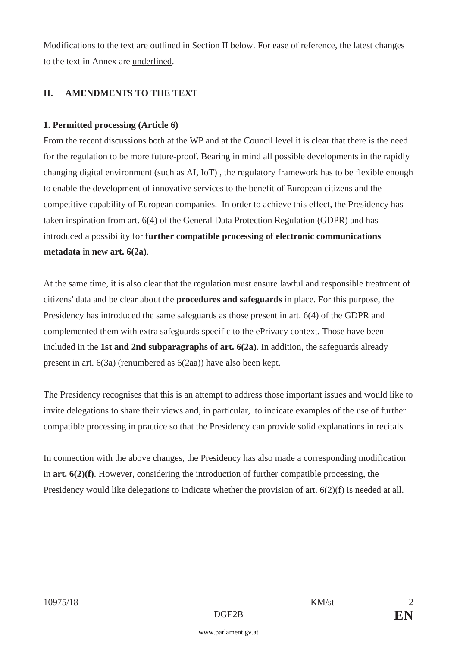Modifications to the text are outlined in Section II below. For ease of reference, the latest changes to the text in Annex are underlined.

### **II. AMENDMENTS TO THE TEXT**

### **1. Permitted processing (Article 6)**

From the recent discussions both at the WP and at the Council level it is clear that there is the need for the regulation to be more future-proof. Bearing in mind all possible developments in the rapidly changing digital environment (such as AI, IoT) , the regulatory framework has to be flexible enough to enable the development of innovative services to the benefit of European citizens and the competitive capability of European companies. In order to achieve this effect, the Presidency has taken inspiration from art. 6(4) of the General Data Protection Regulation (GDPR) and has introduced a possibility for **further compatible processing of electronic communications metadata** in **new art. 6(2a)**.

At the same time, it is also clear that the regulation must ensure lawful and responsible treatment of citizens' data and be clear about the **procedures and safeguards** in place. For this purpose, the Presidency has introduced the same safeguards as those present in art. 6(4) of the GDPR and complemented them with extra safeguards specific to the ePrivacy context. Those have been included in the **1st and 2nd subparagraphs of art. 6(2a)**. In addition, the safeguards already present in art. 6(3a) (renumbered as 6(2aa)) have also been kept.

The Presidency recognises that this is an attempt to address those important issues and would like to invite delegations to share their views and, in particular, to indicate examples of the use of further compatible processing in practice so that the Presidency can provide solid explanations in recitals.

In connection with the above changes, the Presidency has also made a corresponding modification in **art. 6(2)(f)**. However, considering the introduction of further compatible processing, the Presidency would like delegations to indicate whether the provision of art.  $6(2)(f)$  is needed at all.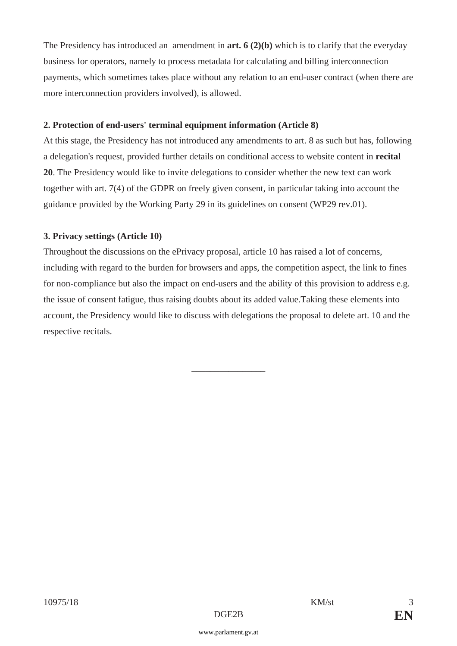The Presidency has introduced an amendment in **art. 6 (2)(b)** which is to clarify that the everyday business for operators, namely to process metadata for calculating and billing interconnection payments, which sometimes takes place without any relation to an end-user contract (when there are more interconnection providers involved), is allowed.

### **2. Protection of end-users' terminal equipment information (Article 8)**

At this stage, the Presidency has not introduced any amendments to art. 8 as such but has, following a delegation's request, provided further details on conditional access to website content in **recital 20**. The Presidency would like to invite delegations to consider whether the new text can work together with art. 7(4) of the GDPR on freely given consent, in particular taking into account the guidance provided by the Working Party 29 in its guidelines on consent (WP29 rev.01).

## **3. Privacy settings (Article 10)**

Throughout the discussions on the ePrivacy proposal, article 10 has raised a lot of concerns, including with regard to the burden for browsers and apps, the competition aspect, the link to fines for non-compliance but also the impact on end-users and the ability of this provision to address e.g. the issue of consent fatigue, thus raising doubts about its added value.Taking these elements into account, the Presidency would like to discuss with delegations the proposal to delete art. 10 and the respective recitals.

\_\_\_\_\_\_\_\_\_\_\_\_\_\_\_\_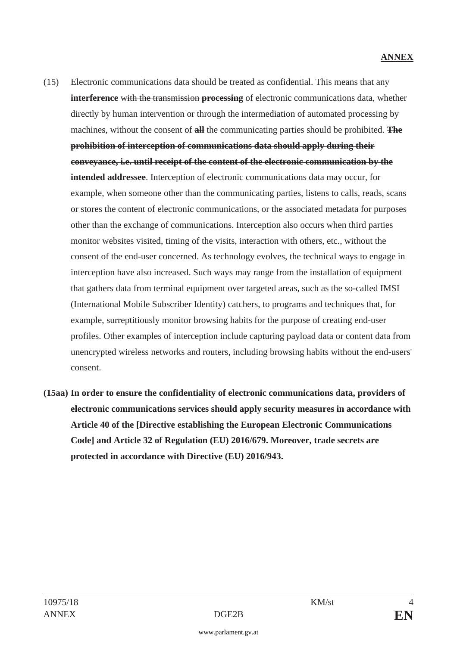- (15) Electronic communications data should be treated as confidential. This means that any **interference** with the transmission **processing** of electronic communications data, whether directly by human intervention or through the intermediation of automated processing by machines, without the consent of **all** the communicating parties should be prohibited. **The prohibition of interception of communications data should apply during their conveyance, i.e. until receipt of the content of the electronic communication by the intended addressee**. Interception of electronic communications data may occur, for example, when someone other than the communicating parties, listens to calls, reads, scans or stores the content of electronic communications, or the associated metadata for purposes other than the exchange of communications. Interception also occurs when third parties monitor websites visited, timing of the visits, interaction with others, etc., without the consent of the end-user concerned. As technology evolves, the technical ways to engage in interception have also increased. Such ways may range from the installation of equipment that gathers data from terminal equipment over targeted areas, such as the so-called IMSI (International Mobile Subscriber Identity) catchers, to programs and techniques that, for example, surreptitiously monitor browsing habits for the purpose of creating end-user profiles. Other examples of interception include capturing payload data or content data from unencrypted wireless networks and routers, including browsing habits without the end-users' consent.
- **(15aa) In order to ensure the confidentiality of electronic communications data, providers of electronic communications services should apply security measures in accordance with Article 40 of the [Directive establishing the European Electronic Communications Code] and Article 32 of Regulation (EU) 2016/679. Moreover, trade secrets are protected in accordance with Directive (EU) 2016/943.**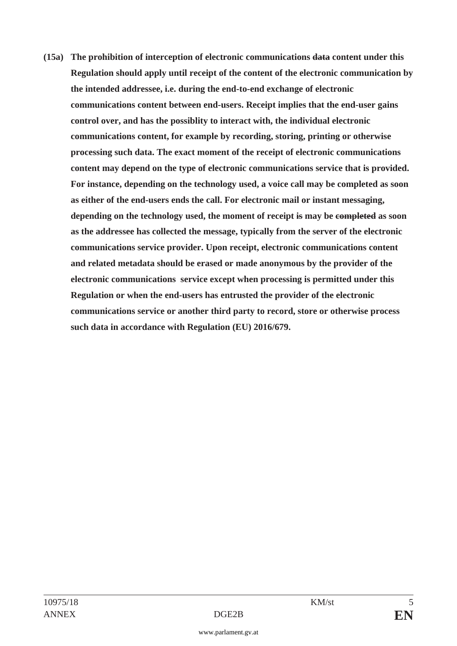**(15a) The prohibition of interception of electronic communications data content under this Regulation should apply until receipt of the content of the electronic communication by the intended addressee, i.e. during the end-to-end exchange of electronic communications content between end-users. Receipt implies that the end-user gains control over, and has the possiblity to interact with, the individual electronic communications content, for example by recording, storing, printing or otherwise processing such data. The exact moment of the receipt of electronic communications content may depend on the type of electronic communications service that is provided. For instance, depending on the technology used, a voice call may be completed as soon as either of the end-users ends the call. For electronic mail or instant messaging, depending on the technology used, the moment of receipt is may be completed as soon as the addressee has collected the message, typically from the server of the electronic communications service provider. Upon receipt, electronic communications content and related metadata should be erased or made anonymous by the provider of the electronic communications service except when processing is permitted under this Regulation or when the end-users has entrusted the provider of the electronic communications service or another third party to record, store or otherwise process such data in accordance with Regulation (EU) 2016/679.**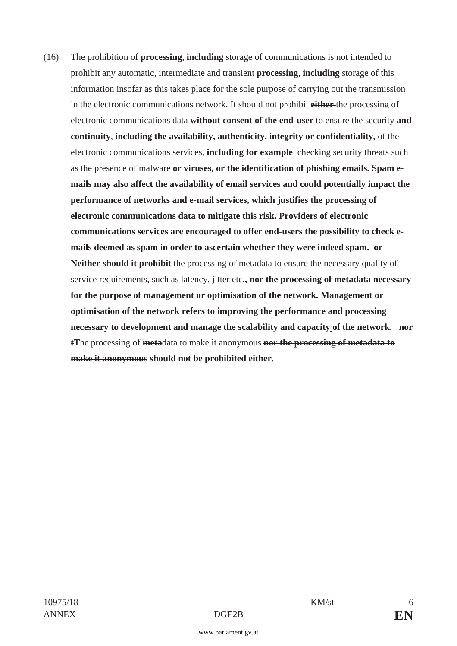(16) The prohibition of **processing, including** storage of communications is not intended to prohibit any automatic, intermediate and transient **processing, including** storage of this information insofar as this takes place for the sole purpose of carrying out the transmission in the electronic communications network. It should not prohibit **either** the processing of electronic communications data **without consent of the end-user** to ensure the security **and continuity**, **including the availability, authenticity, integrity or confidentiality,** of the electronic communications services, **including for example** checking security threats such as the presence of malware **or viruses, or the identification of phishing emails. Spam emails may also affect the availability of email services and could potentially impact the performance of networks and e-mail services, which justifies the processing of electronic communications data to mitigate this risk. Providers of electronic communications services are encouraged to offer end-users the possibility to check emails deemed as spam in order to ascertain whether they were indeed spam. or Neither should it prohibit** the processing of metadata to ensure the necessary quality of service requirements, such as latency, jitter etc**., nor the processing of metadata necessary for the purpose of management or optimisation of the network. Management or optimisation of the network refers to improving the performance and processing necessary to development and manage the scalability and capacity of the network. nor tT**he processing of **meta**data to make it anonymous **nor the processing of metadata to make it anonymou**s **should not be prohibited either**.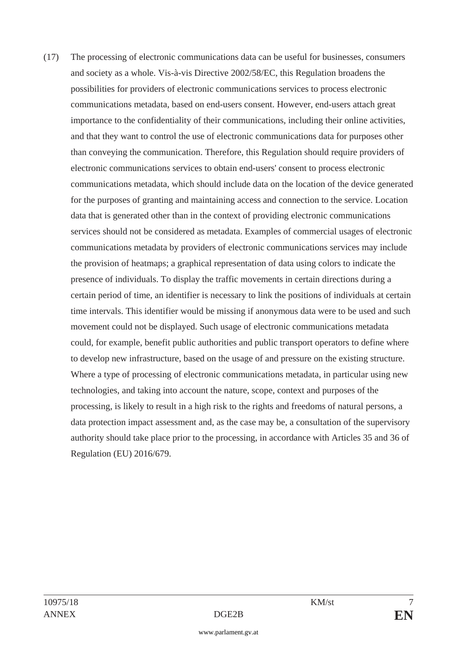(17) The processing of electronic communications data can be useful for businesses, consumers and society as a whole. Vis-à-vis Directive 2002/58/EC, this Regulation broadens the possibilities for providers of electronic communications services to process electronic communications metadata, based on end-users consent. However, end-users attach great importance to the confidentiality of their communications, including their online activities, and that they want to control the use of electronic communications data for purposes other than conveying the communication. Therefore, this Regulation should require providers of electronic communications services to obtain end-users' consent to process electronic communications metadata, which should include data on the location of the device generated for the purposes of granting and maintaining access and connection to the service. Location data that is generated other than in the context of providing electronic communications services should not be considered as metadata. Examples of commercial usages of electronic communications metadata by providers of electronic communications services may include the provision of heatmaps; a graphical representation of data using colors to indicate the presence of individuals. To display the traffic movements in certain directions during a certain period of time, an identifier is necessary to link the positions of individuals at certain time intervals. This identifier would be missing if anonymous data were to be used and such movement could not be displayed. Such usage of electronic communications metadata could, for example, benefit public authorities and public transport operators to define where to develop new infrastructure, based on the usage of and pressure on the existing structure. Where a type of processing of electronic communications metadata, in particular using new technologies, and taking into account the nature, scope, context and purposes of the processing, is likely to result in a high risk to the rights and freedoms of natural persons, a data protection impact assessment and, as the case may be, a consultation of the supervisory authority should take place prior to the processing, in accordance with Articles 35 and 36 of Regulation (EU) 2016/679.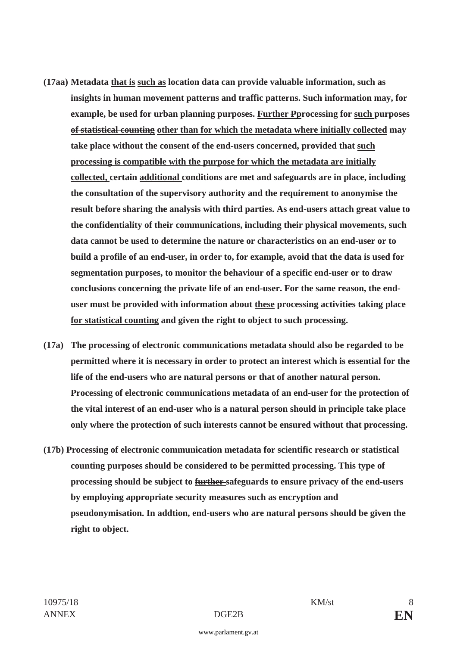- **(17aa) Metadata that is such as location data can provide valuable information, such as insights in human movement patterns and traffic patterns. Such information may, for example, be used for urban planning purposes. Further Pprocessing for such purposes of statistical counting other than for which the metadata where initially collected may take place without the consent of the end-users concerned, provided that such processing is compatible with the purpose for which the metadata are initially collected, certain additional conditions are met and safeguards are in place, including the consultation of the supervisory authority and the requirement to anonymise the result before sharing the analysis with third parties. As end-users attach great value to the confidentiality of their communications, including their physical movements, such data cannot be used to determine the nature or characteristics on an end-user or to build a profile of an end-user, in order to, for example, avoid that the data is used for segmentation purposes, to monitor the behaviour of a specific end-user or to draw conclusions concerning the private life of an end-user. For the same reason, the enduser must be provided with information about these processing activities taking place for statistical counting and given the right to object to such processing.**
- **(17a) The processing of electronic communications metadata should also be regarded to be permitted where it is necessary in order to protect an interest which is essential for the life of the end-users who are natural persons or that of another natural person. Processing of electronic communications metadata of an end-user for the protection of the vital interest of an end-user who is a natural person should in principle take place only where the protection of such interests cannot be ensured without that processing.**
- **(17b) Processing of electronic communication metadata for scientific research or statistical counting purposes should be considered to be permitted processing. This type of processing should be subject to further safeguards to ensure privacy of the end-users by employing appropriate security measures such as encryption and pseudonymisation. In addtion, end-users who are natural persons should be given the right to object.**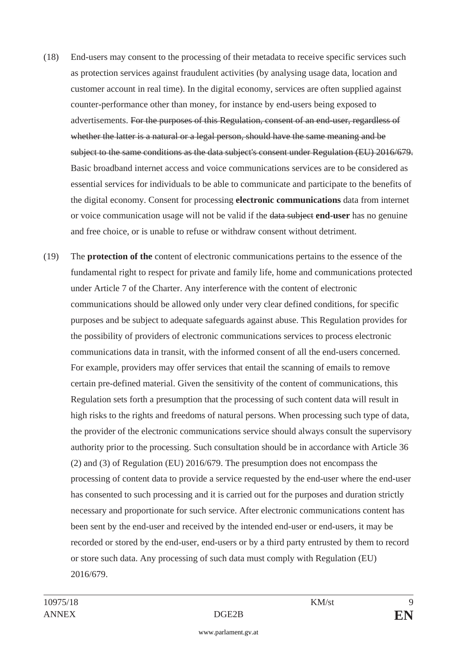- (18) End-users may consent to the processing of their metadata to receive specific services such as protection services against fraudulent activities (by analysing usage data, location and customer account in real time). In the digital economy, services are often supplied against counter-performance other than money, for instance by end-users being exposed to advertisements. For the purposes of this Regulation, consent of an end-user, regardless of whether the latter is a natural or a legal person, should have the same meaning and be subject to the same conditions as the data subject's consent under Regulation (EU) 2016/679. Basic broadband internet access and voice communications services are to be considered as essential services for individuals to be able to communicate and participate to the benefits of the digital economy. Consent for processing **electronic communications** data from internet or voice communication usage will not be valid if the data subject **end-user** has no genuine and free choice, or is unable to refuse or withdraw consent without detriment.
- (19) The **protection of the** content of electronic communications pertains to the essence of the fundamental right to respect for private and family life, home and communications protected under Article 7 of the Charter. Any interference with the content of electronic communications should be allowed only under very clear defined conditions, for specific purposes and be subject to adequate safeguards against abuse. This Regulation provides for the possibility of providers of electronic communications services to process electronic communications data in transit, with the informed consent of all the end-users concerned. For example, providers may offer services that entail the scanning of emails to remove certain pre-defined material. Given the sensitivity of the content of communications, this Regulation sets forth a presumption that the processing of such content data will result in high risks to the rights and freedoms of natural persons. When processing such type of data, the provider of the electronic communications service should always consult the supervisory authority prior to the processing. Such consultation should be in accordance with Article 36 (2) and (3) of Regulation (EU) 2016/679. The presumption does not encompass the processing of content data to provide a service requested by the end-user where the end-user has consented to such processing and it is carried out for the purposes and duration strictly necessary and proportionate for such service. After electronic communications content has been sent by the end-user and received by the intended end-user or end-users, it may be recorded or stored by the end-user, end-users or by a third party entrusted by them to record or store such data. Any processing of such data must comply with Regulation (EU) 2016/679.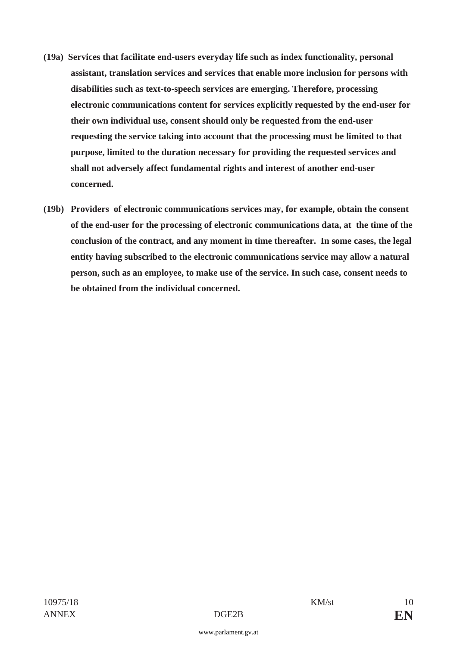- **(19a) Services that facilitate end-users everyday life such as index functionality, personal assistant, translation services and services that enable more inclusion for persons with disabilities such as text-to-speech services are emerging. Therefore, processing electronic communications content for services explicitly requested by the end-user for their own individual use, consent should only be requested from the end-user requesting the service taking into account that the processing must be limited to that purpose, limited to the duration necessary for providing the requested services and shall not adversely affect fundamental rights and interest of another end-user concerned.**
- **(19b) Providers of electronic communications services may, for example, obtain the consent of the end-user for the processing of electronic communications data, at the time of the conclusion of the contract, and any moment in time thereafter. In some cases, the legal entity having subscribed to the electronic communications service may allow a natural person, such as an employee, to make use of the service. In such case, consent needs to be obtained from the individual concerned.**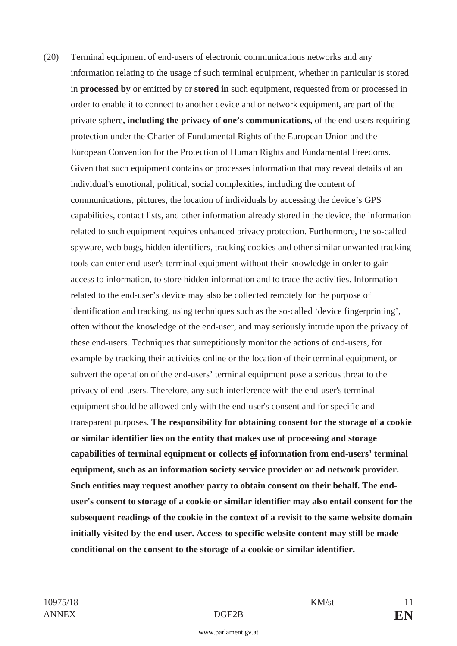(20) Terminal equipment of end-users of electronic communications networks and any information relating to the usage of such terminal equipment, whether in particular is stored in **processed by** or emitted by or **stored in** such equipment, requested from or processed in order to enable it to connect to another device and or network equipment, are part of the private sphere**, including the privacy of one's communications,** of the end-users requiring protection under the Charter of Fundamental Rights of the European Union and the European Convention for the Protection of Human Rights and Fundamental Freedoms. Given that such equipment contains or processes information that may reveal details of an individual's emotional, political, social complexities, including the content of communications, pictures, the location of individuals by accessing the device's GPS capabilities, contact lists, and other information already stored in the device, the information related to such equipment requires enhanced privacy protection. Furthermore, the so-called spyware, web bugs, hidden identifiers, tracking cookies and other similar unwanted tracking tools can enter end-user's terminal equipment without their knowledge in order to gain access to information, to store hidden information and to trace the activities. Information related to the end-user's device may also be collected remotely for the purpose of identification and tracking, using techniques such as the so-called 'device fingerprinting', often without the knowledge of the end-user, and may seriously intrude upon the privacy of these end-users. Techniques that surreptitiously monitor the actions of end-users, for example by tracking their activities online or the location of their terminal equipment, or subvert the operation of the end-users' terminal equipment pose a serious threat to the privacy of end-users. Therefore, any such interference with the end-user's terminal equipment should be allowed only with the end-user's consent and for specific and transparent purposes. **The responsibility for obtaining consent for the storage of a cookie or similar identifier lies on the entity that makes use of processing and storage capabilities of terminal equipment or collects of information from end-users' terminal equipment, such as an information society service provider or ad network provider. Such entities may request another party to obtain consent on their behalf. The enduser's consent to storage of a cookie or similar identifier may also entail consent for the subsequent readings of the cookie in the context of a revisit to the same website domain initially visited by the end-user. Access to specific website content may still be made conditional on the consent to the storage of a cookie or similar identifier.**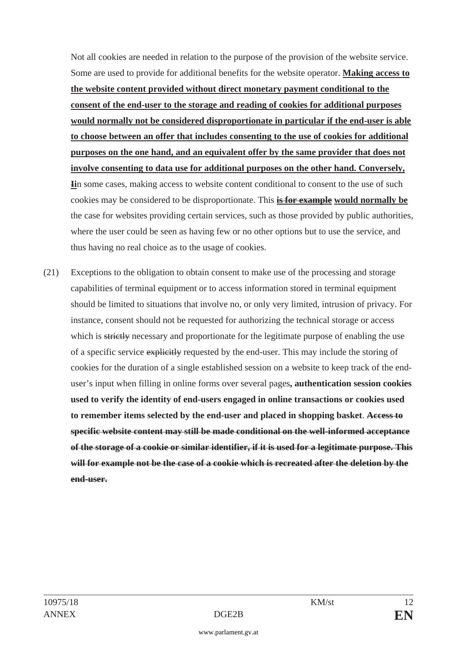Not all cookies are needed in relation to the purpose of the provision of the website service. Some are used to provide for additional benefits for the website operator. **Making access to the website content provided without direct monetary payment conditional to the consent of the end-user to the storage and reading of cookies for additional purposes would normally not be considered disproportionate in particular if the end-user is able to choose between an offer that includes consenting to the use of cookies for additional purposes on the one hand, and an equivalent offer by the same provider that does not involve consenting to data use for additional purposes on the other hand. Conversely, Ii**n some cases, making access to website content conditional to consent to the use of such cookies may be considered to be disproportionate. This **is for example would normally be** the case for websites providing certain services, such as those provided by public authorities, where the user could be seen as having few or no other options but to use the service, and thus having no real choice as to the usage of cookies.

(21) Exceptions to the obligation to obtain consent to make use of the processing and storage capabilities of terminal equipment or to access information stored in terminal equipment should be limited to situations that involve no, or only very limited, intrusion of privacy. For instance, consent should not be requested for authorizing the technical storage or access which is strictly necessary and proportionate for the legitimate purpose of enabling the use of a specific service explicitly requested by the end-user. This may include the storing of cookies for the duration of a single established session on a website to keep track of the enduser's input when filling in online forms over several pages**, authentication session cookies used to verify the identity of end-users engaged in online transactions or cookies used to remember items selected by the end-user and placed in shopping basket**. **Access to specific website content may still be made conditional on the well-informed acceptance of the storage of a cookie or similar identifier, if it is used for a legitimate purpose. This will for example not be the case of a cookie which is recreated after the deletion by the end-user.**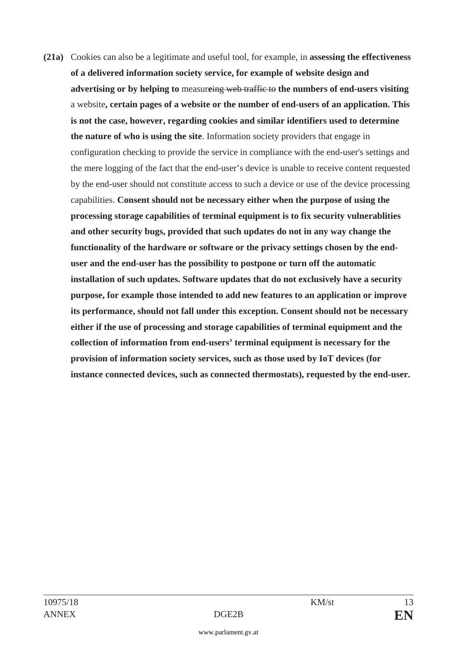**(21a)** Cookies can also be a legitimate and useful tool, for example, in **assessing the effectiveness of a delivered information society service, for example of website design and advertising or by helping to** measureing web traffic to the numbers of end-users visiting a website**, certain pages of a website or the number of end-users of an application. This is not the case, however, regarding cookies and similar identifiers used to determine the nature of who is using the site**. Information society providers that engage in configuration checking to provide the service in compliance with the end-user's settings and the mere logging of the fact that the end-user's device is unable to receive content requested by the end-user should not constitute access to such a device or use of the device processing capabilities. **Consent should not be necessary either when the purpose of using the processing storage capabilities of terminal equipment is to fix security vulnerablities and other security bugs, provided that such updates do not in any way change the functionality of the hardware or software or the privacy settings chosen by the enduser and the end-user has the possibility to postpone or turn off the automatic installation of such updates. Software updates that do not exclusively have a security purpose, for example those intended to add new features to an application or improve its performance, should not fall under this exception. Consent should not be necessary either if the use of processing and storage capabilities of terminal equipment and the collection of information from end-users' terminal equipment is necessary for the provision of information society services, such as those used by IoT devices (for instance connected devices, such as connected thermostats), requested by the end-user.**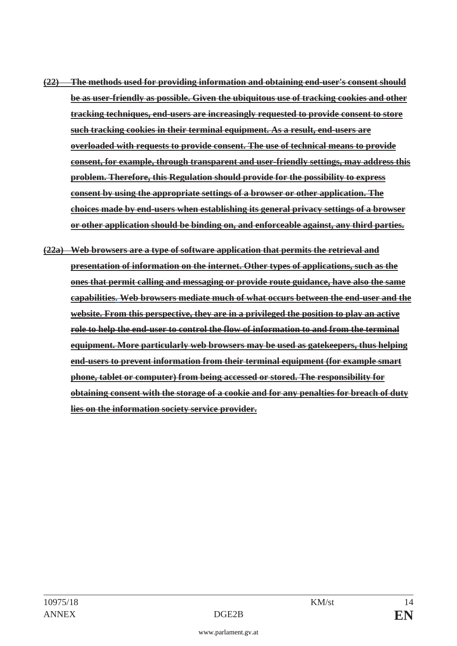- **(22) The methods used for providing information and obtaining end-user's consent should be as user-friendly as possible. Given the ubiquitous use of tracking cookies and other tracking techniques, end-users are increasingly requested to provide consent to store such tracking cookies in their terminal equipment. As a result, end-users are overloaded with requests to provide consent. The use of technical means to provide consent, for example, through transparent and user-friendly settings, may address this problem. Therefore, this Regulation should provide for the possibility to express consent by using the appropriate settings of a browser or other application. The choices made by end-users when establishing its general privacy settings of a browser or other application should be binding on, and enforceable against, any third parties.**
- **(22a) Web browsers are a type of software application that permits the retrieval and presentation of information on the internet. Other types of applications, such as the ones that permit calling and messaging or provide route guidance, have also the same capabilities. Web browsers mediate much of what occurs between the end-user and the website. From this perspective, they are in a privileged the position to play an active role to help the end-user to control the flow of information to and from the terminal equipment. More particularly web browsers may be used as gatekeepers, thus helping end-users to prevent information from their terminal equipment (for example smart phone, tablet or computer) from being accessed or stored. The responsibility for obtaining consent with the storage of a cookie and for any penalties for breach of duty lies on the information society service provider.**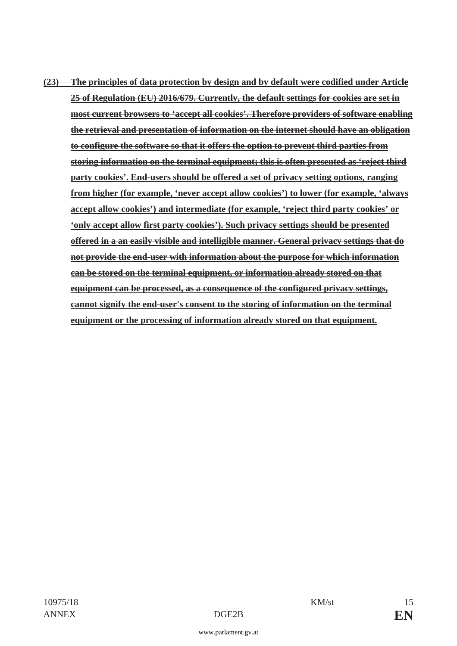**(23) The principles of data protection by design and by default were codified under Article 25 of Regulation (EU) 2016/679. Currently, the default settings for cookies are set in most current browsers to 'accept all cookies'. Therefore providers of software enabling the retrieval and presentation of information on the internet should have an obligation to configure the software so that it offers the option to prevent third parties from storing information on the terminal equipment; this is often presented as 'reject third party cookies'. End-users should be offered a set of privacy setting options, ranging from higher (for example, 'never accept allow cookies') to lower (for example, 'always accept allow cookies') and intermediate (for example, 'reject third party cookies' or 'only accept allow first party cookies'). Such privacy settings should be presented offered in a an easily visible and intelligible manner. General privacy settings that do not provide the end-user with information about the purpose for which information can be stored on the terminal equipment, or information already stored on that equipment can be processed, as a consequence of the configured privacy settings, cannot signify the end-user's consent to the storing of information on the terminal equipment or the processing of information already stored on that equipment.**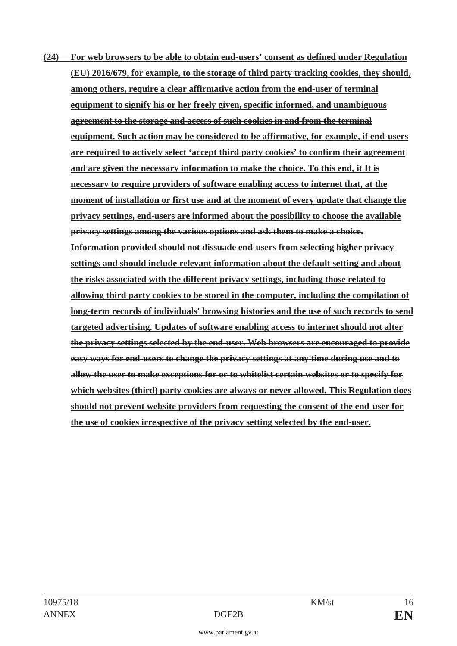**(24) For web browsers to be able to obtain end-users' consent as defined under Regulation (EU) 2016/679, for example, to the storage of third party tracking cookies, they should, among others, require a clear affirmative action from the end-user of terminal equipment to signify his or her freely given, specific informed, and unambiguous agreement to the storage and access of such cookies in and from the terminal equipment. Such action may be considered to be affirmative, for example, if end-users are required to actively select 'accept third party cookies' to confirm their agreement and are given the necessary information to make the choice. To this end, it It is necessary to require providers of software enabling access to internet that, at the moment of installation or first use and at the moment of every update that change the privacy settings, end-users are informed about the possibility to choose the available privacy settings among the various options and ask them to make a choice. Information provided should not dissuade end-users from selecting higher privacy settings and should include relevant information about the default setting and about the risks associated with the different privacy settings, including those related to allowing third party cookies to be stored in the computer, including the compilation of long-term records of individuals' browsing histories and the use of such records to send targeted advertising. Updates of software enabling access to internet should not alter the privacy settings selected by the end-user. Web browsers are encouraged to provide easy ways for end-users to change the privacy settings at any time during use and to allow the user to make exceptions for or to whitelist certain websites or to specify for which websites (third) party cookies are always or never allowed. This Regulation does should not prevent website providers from requesting the consent of the end-user for the use of cookies irrespective of the privacy setting selected by the end-user.**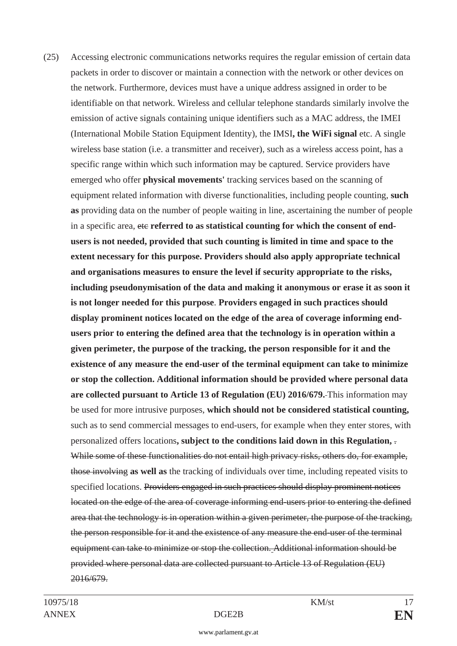(25) Accessing electronic communications networks requires the regular emission of certain data packets in order to discover or maintain a connection with the network or other devices on the network. Furthermore, devices must have a unique address assigned in order to be identifiable on that network. Wireless and cellular telephone standards similarly involve the emission of active signals containing unique identifiers such as a MAC address, the IMEI (International Mobile Station Equipment Identity), the IMSI**, the WiFi signal** etc. A single wireless base station (i.e. a transmitter and receiver), such as a wireless access point, has a specific range within which such information may be captured. Service providers have emerged who offer **physical movements'** tracking services based on the scanning of equipment related information with diverse functionalities, including people counting, **such as** providing data on the number of people waiting in line, ascertaining the number of people in a specific area, etc **referred to as statistical counting for which the consent of endusers is not needed, provided that such counting is limited in time and space to the extent necessary for this purpose. Providers should also apply appropriate technical and organisations measures to ensure the level if security appropriate to the risks, including pseudonymisation of the data and making it anonymous or erase it as soon it is not longer needed for this purpose**. **Providers engaged in such practices should display prominent notices located on the edge of the area of coverage informing endusers prior to entering the defined area that the technology is in operation within a given perimeter, the purpose of the tracking, the person responsible for it and the existence of any measure the end-user of the terminal equipment can take to minimize or stop the collection. Additional information should be provided where personal data are collected pursuant to Article 13 of Regulation (EU) 2016/679.** This information may be used for more intrusive purposes, **which should not be considered statistical counting,** such as to send commercial messages to end-users, for example when they enter stores, with personalized offers locations**, subject to the conditions laid down in this Regulation,** . While some of these functionalities do not entail high privacy risks, others do, for example, those involving **as well as** the tracking of individuals over time, including repeated visits to specified locations. Providers engaged in such practices should display prominent notices located on the edge of the area of coverage informing end-users prior to entering the defined area that the technology is in operation within a given perimeter, the purpose of the tracking, the person responsible for it and the existence of any measure the end-user of the terminal equipment can take to minimize or stop the collection. Additional information should be provided where personal data are collected pursuant to Article 13 of Regulation (EU) 2016/679.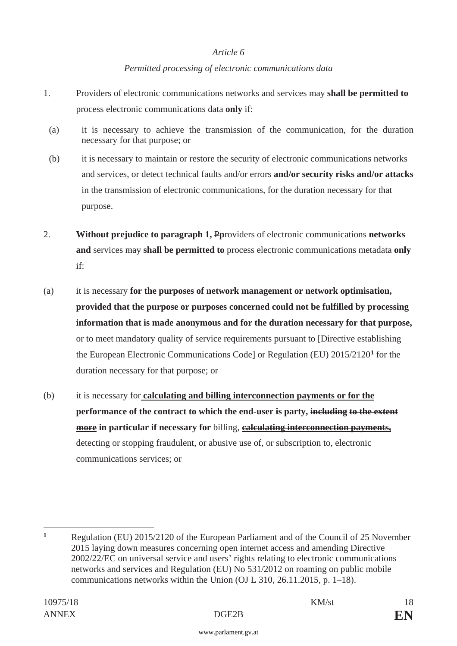### *Article 6*

## *Permitted processing of electronic communications data*

- 1. Providers of electronic communications networks and services may **shall be permitted to** process electronic communications data **only** if:
- (a) it is necessary to achieve the transmission of the communication, for the duration necessary for that purpose; or
- (b) it is necessary to maintain or restore the security of electronic communications networks and services, or detect technical faults and/or errors **and/or security risks and/or attacks** in the transmission of electronic communications, for the duration necessary for that purpose.
- 2. **Without prejudice to paragraph 1,** P**p**roviders of electronic communications **networks and** services may **shall be permitted to** process electronic communications metadata **only** if:
- (a) it is necessary **for the purposes of network management or network optimisation, provided that the purpose or purposes concerned could not be fulfilled by processing information that is made anonymous and for the duration necessary for that purpose,** or to meet mandatory quality of service requirements pursuant to [Directive establishing the European Electronic Communications Code] or Regulation (EU) 2015/2120**<sup>1</sup>** for the duration necessary for that purpose; or
- (b) it is necessary for **calculating and billing interconnection payments or for the performance of the contract to which the end-user is party, including to the extent more in particular if necessary for** billing, **calculating interconnection payments,** detecting or stopping fraudulent, or abusive use of, or subscription to, electronic communications services; or

 $\mathbf{1}$ **<sup>1</sup>** Regulation (EU) 2015/2120 of the European Parliament and of the Council of 25 November 2015 laying down measures concerning open internet access and amending Directive 2002/22/EC on universal service and users' rights relating to electronic communications networks and services and Regulation (EU) No 531/2012 on roaming on public mobile communications networks within the Union (OJ L 310, 26.11.2015, p. 1–18).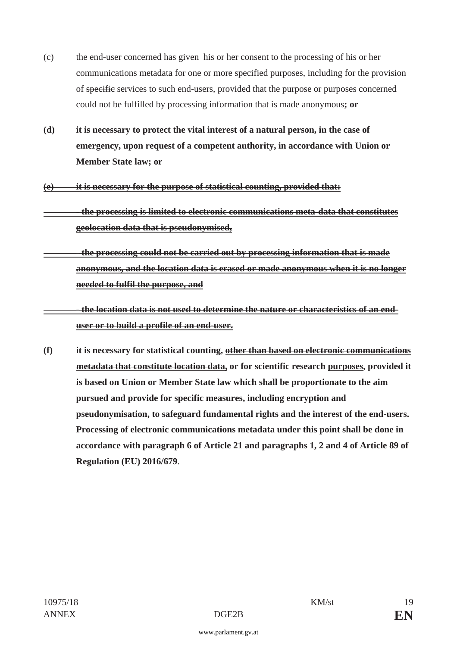- (c) the end-user concerned has given his or her consent to the processing of his or her communications metadata for one or more specified purposes, including for the provision of specific services to such end-users, provided that the purpose or purposes concerned could not be fulfilled by processing information that is made anonymous**; or**
- **(d) it is necessary to protect the vital interest of a natural person, in the case of emergency, upon request of a competent authority, in accordance with Union or Member State law; or**
- **(e) it is necessary for the purpose of statistical counting, provided that:** 
	- **the processing is limited to electronic communications meta-data that constitutes geolocation data that is pseudonymised,**
- **the processing could not be carried out by processing information that is made anonymous, and the location data is erased or made anonymous when it is no longer needed to fulfil the purpose, and**

 **- the location data is not used to determine the nature or characteristics of an enduser or to build a profile of an end-user.** 

**(f) it is necessary for statistical counting, other than based on electronic communications metadata that constitute location data, or for scientific research purposes, provided it is based on Union or Member State law which shall be proportionate to the aim pursued and provide for specific measures, including encryption and pseudonymisation, to safeguard fundamental rights and the interest of the end-users. Processing of electronic communications metadata under this point shall be done in accordance with paragraph 6 of Article 21 and paragraphs 1, 2 and 4 of Article 89 of Regulation (EU) 2016/679**.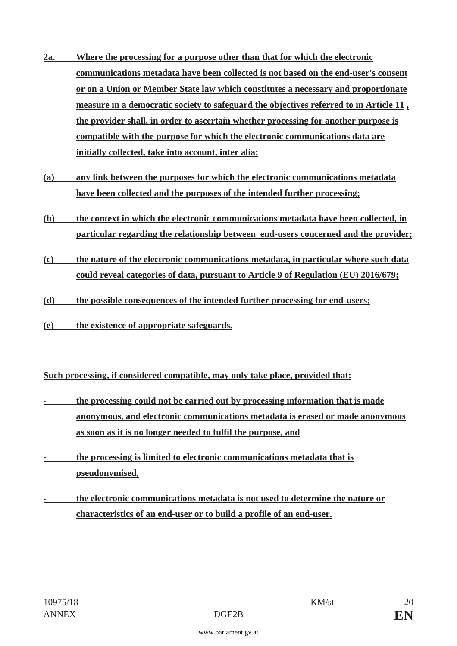- **2a. Where the processing for a purpose other than that for which the electronic communications metadata have been collected is not based on the end-user's consent or on a Union or Member State law which constitutes a necessary and proportionate measure in a democratic society to safeguard the objectives referred to in Article 11 , the provider shall, in order to ascertain whether processing for another purpose is compatible with the purpose for which the electronic communications data are initially collected, take into account, inter alia:**
- **(a) any link between the purposes for which the electronic communications metadata have been collected and the purposes of the intended further processing;**
- **(b) the context in which the electronic communications metadata have been collected, in particular regarding the relationship between end-users concerned and the provider;**
- **(c) the nature of the electronic communications metadata, in particular where such data could reveal categories of data, pursuant to Article 9 of Regulation (EU) 2016/679;**
- **(d) the possible consequences of the intended further processing for end-users;**
- **(e) the existence of appropriate safeguards.**

**Such processing, if considered compatible, may only take place, provided that:** 

- **the processing could not be carried out by processing information that is made anonymous, and electronic communications metadata is erased or made anonymous as soon as it is no longer needed to fulfil the purpose, and**
- **the processing is limited to electronic communications metadata that is pseudonymised,**
- **the electronic communications metadata is not used to determine the nature or characteristics of an end-user or to build a profile of an end-user.**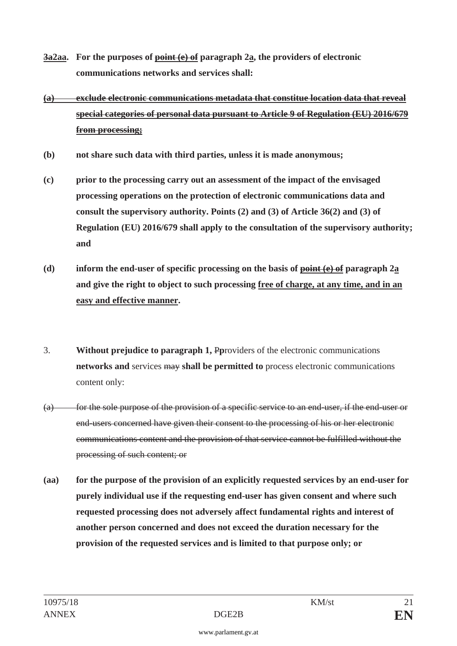- **3a2aa. For the purposes of point (e) of paragraph 2a, the providers of electronic communications networks and services shall:**
- **(a) exclude electronic communications metadata that constitue location data that reveal special categories of personal data pursuant to Article 9 of Regulation (EU) 2016/679 from processing;**
- **(b) not share such data with third parties, unless it is made anonymous;**
- **(c) prior to the processing carry out an assessment of the impact of the envisaged processing operations on the protection of electronic communications data and consult the supervisory authority. Points (2) and (3) of Article 36(2) and (3) of Regulation (EU) 2016/679 shall apply to the consultation of the supervisory authority; and**
- **(d) inform the end-user of specific processing on the basis of point (e) of paragraph 2a and give the right to object to such processing free of charge, at any time, and in an easy and effective manner.**
- 3. **Without prejudice to paragraph 1,** P**p**roviders of the electronic communications **networks and** services may **shall be permitted to** process electronic communications content only:
- (a) for the sole purpose of the provision of a specific service to an end-user, if the end-user or end-users concerned have given their consent to the processing of his or her electronic communications content and the provision of that service cannot be fulfilled without the processing of such content; or
- **(aa) for the purpose of the provision of an explicitly requested services by an end-user for purely individual use if the requesting end-user has given consent and where such requested processing does not adversely affect fundamental rights and interest of another person concerned and does not exceed the duration necessary for the provision of the requested services and is limited to that purpose only; or**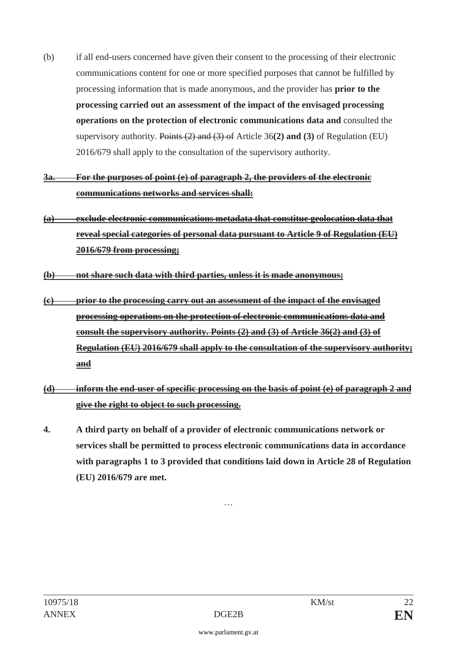(b) if all end-users concerned have given their consent to the processing of their electronic communications content for one or more specified purposes that cannot be fulfilled by processing information that is made anonymous, and the provider has **prior to the processing carried out an assessment of the impact of the envisaged processing operations on the protection of electronic communications data and** consulted the supervisory authority. Points (2) and (3) of Article 36**(2) and (3)** of Regulation (EU) 2016/679 shall apply to the consultation of the supervisory authority.

# **3a. For the purposes of point (e) of paragraph 2, the providers of the electronic communications networks and services shall:**

- **(a) exclude electronic communications metadata that constitue geolocation data that reveal special categories of personal data pursuant to Article 9 of Regulation (EU) 2016/679 from processing;**
- **(b) not share such data with third parties, unless it is made anonymous;**
- **(c) prior to the processing carry out an assessment of the impact of the envisaged processing operations on the protection of electronic communications data and consult the supervisory authority. Points (2) and (3) of Article 36(2) and (3) of Regulation (EU) 2016/679 shall apply to the consultation of the supervisory authority; and**
- **(d) inform the end-user of specific processing on the basis of point (e) of paragraph 2 and give the right to object to such processing.**
- **4. A third party on behalf of a provider of electronic communications network or services shall be permitted to process electronic communications data in accordance with paragraphs 1 to 3 provided that conditions laid down in Article 28 of Regulation (EU) 2016/679 are met.**

…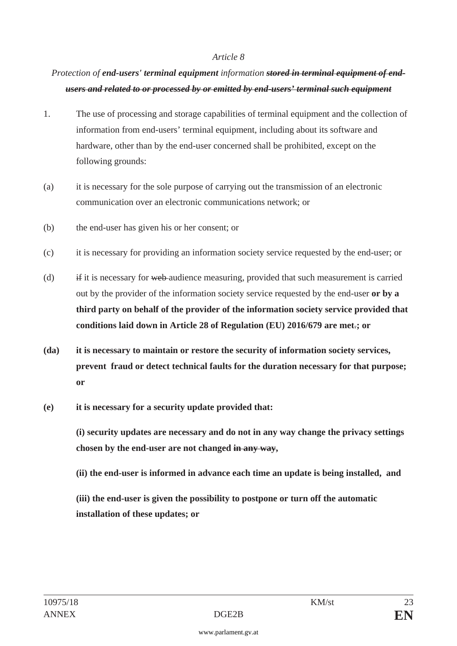#### *Article 8*

# *Protection of end-users' terminal equipment information stored in terminal equipment of endusers and related to or processed by or emitted by end-users' terminal such equipment*

- 1. The use of processing and storage capabilities of terminal equipment and the collection of information from end-users' terminal equipment, including about its software and hardware, other than by the end-user concerned shall be prohibited, except on the following grounds:
- (a) it is necessary for the sole purpose of carrying out the transmission of an electronic communication over an electronic communications network; or
- (b) the end-user has given his or her consent; or
- (c) it is necessary for providing an information society service requested by the end-user; or
- (d) if it is necessary for web audience measuring, provided that such measurement is carried out by the provider of the information society service requested by the end-user **or by a third party on behalf of the provider of the information society service provided that conditions laid down in Article 28 of Regulation (EU) 2016/679 are met**.**; or**
- **(da) it is necessary to maintain or restore the security of information society services, prevent fraud or detect technical faults for the duration necessary for that purpose; or**
- **(e) it is necessary for a security update provided that:**

 **(i) security updates are necessary and do not in any way change the privacy settings chosen by the end-user are not changed in any way,** 

 **(ii) the end-user is informed in advance each time an update is being installed, and** 

 **(iii) the end-user is given the possibility to postpone or turn off the automatic installation of these updates; or**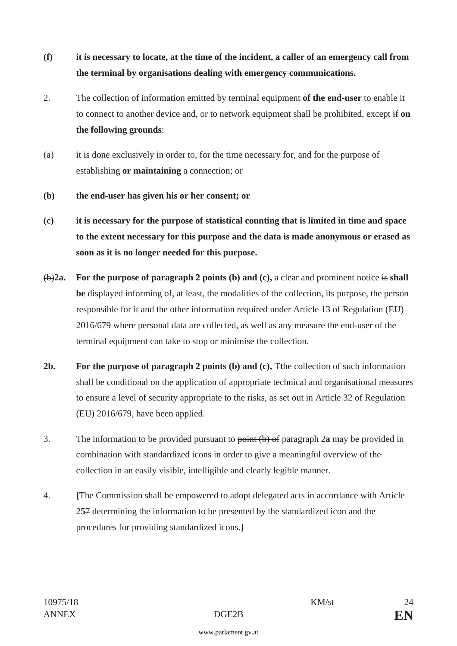# **(f) it is necessary to locate, at the time of the incident, a caller of an emergency call from the terminal by organisations dealing with emergency communications.**

- 2. The collection of information emitted by terminal equipment **of the end-user** to enable it to connect to another device and, or to network equipment shall be prohibited, except if **on the following grounds**:
- (a) it is done exclusively in order to, for the time necessary for, and for the purpose of establishing **or maintaining** a connection; or
- **(b) the end-user has given his or her consent; or**
- **(c) it is necessary for the purpose of statistical counting that is limited in time and space to the extent necessary for this purpose and the data is made anonymous or erased as soon as it is no longer needed for this purpose.**
- (b)**2a. For the purpose of paragraph 2 points (b) and (c),** a clear and prominent notice is **shall be** displayed informing of, at least, the modalities of the collection, its purpose, the person responsible for it and the other information required under Article 13 of Regulation (EU) 2016/679 where personal data are collected, as well as any measure the end-user of the terminal equipment can take to stop or minimise the collection.
- **2b. For the purpose of paragraph 2 points (b) and (c),** T**t**he collection of such information shall be conditional on the application of appropriate technical and organisational measures to ensure a level of security appropriate to the risks, as set out in Article 32 of Regulation (EU) 2016/679, have been applied.
- 3. The information to be provided pursuant to point (b) of paragraph 2**a** may be provided in combination with standardized icons in order to give a meaningful overview of the collection in an easily visible, intelligible and clearly legible manner.
- 4. **[**The Commission shall be empowered to adopt delegated acts in accordance with Article 2**5**7 determining the information to be presented by the standardized icon and the procedures for providing standardized icons.**]**